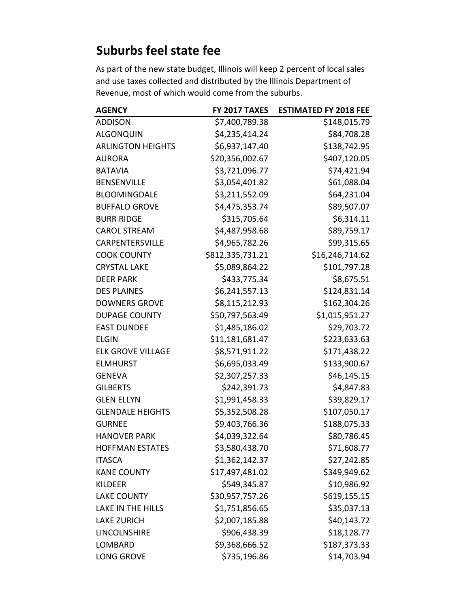## **Suburbs feel state fee**

As part of the new state budget, Illinois will keep 2 percent of local sales and use taxes collected and distributed by the Illinois Department of Revenue, most of which would come from the suburbs.

| <b>AGENCY</b>            | FY 2017 TAXES    | <b>ESTIMATED FY 2018 FEE</b> |
|--------------------------|------------------|------------------------------|
| <b>ADDISON</b>           | \$7,400,789.38   | \$148,015.79                 |
| <b>ALGONQUIN</b>         | \$4,235,414.24   | \$84,708.28                  |
| <b>ARLINGTON HEIGHTS</b> | \$6,937,147.40   | \$138,742.95                 |
| <b>AURORA</b>            | \$20,356,002.67  | \$407,120.05                 |
| <b>BATAVIA</b>           | \$3,721,096.77   | \$74,421.94                  |
| <b>BENSENVILLE</b>       | \$3,054,401.82   | \$61,088.04                  |
| <b>BLOOMINGDALE</b>      | \$3,211,552.09   | \$64,231.04                  |
| <b>BUFFALO GROVE</b>     | \$4,475,353.74   | \$89,507.07                  |
| <b>BURR RIDGE</b>        | \$315,705.64     | \$6,314.11                   |
| <b>CAROL STREAM</b>      | \$4,487,958.68   | \$89,759.17                  |
| CARPENTERSVILLE          | \$4,965,782.26   | \$99,315.65                  |
| <b>COOK COUNTY</b>       | \$812,335,731.21 | \$16,246,714.62              |
| <b>CRYSTAL LAKE</b>      | \$5,089,864.22   | \$101,797.28                 |
| <b>DEER PARK</b>         | \$433,775.34     | \$8,675.51                   |
| <b>DES PLAINES</b>       | \$6,241,557.13   | \$124,831.14                 |
| <b>DOWNERS GROVE</b>     | \$8,115,212.93   | \$162,304.26                 |
| <b>DUPAGE COUNTY</b>     | \$50,797,563.49  | \$1,015,951.27               |
| <b>EAST DUNDEE</b>       | \$1,485,186.02   | \$29,703.72                  |
| <b>ELGIN</b>             | \$11,181,681.47  | \$223,633.63                 |
| <b>ELK GROVE VILLAGE</b> | \$8,571,911.22   | \$171,438.22                 |
| <b>ELMHURST</b>          | \$6,695,033.49   | \$133,900.67                 |
| <b>GENEVA</b>            | \$2,307,257.33   | \$46,145.15                  |
| <b>GILBERTS</b>          | \$242,391.73     | \$4,847.83                   |
| <b>GLEN ELLYN</b>        | \$1,991,458.33   | \$39,829.17                  |
| <b>GLENDALE HEIGHTS</b>  | \$5,352,508.28   | \$107,050.17                 |
| <b>GURNEE</b>            | \$9,403,766.36   | \$188,075.33                 |
| <b>HANOVER PARK</b>      | \$4,039,322.64   | \$80,786.45                  |
| <b>HOFFMAN ESTATES</b>   | \$3,580,438.70   | \$71,608.77                  |
| <b>ITASCA</b>            | \$1,362,142.37   | \$27,242.85                  |
| <b>KANE COUNTY</b>       | \$17,497,481.02  | \$349,949.62                 |
| <b>KILDEER</b>           | \$549,345.87     | \$10,986.92                  |
| <b>LAKE COUNTY</b>       | \$30,957,757.26  | \$619,155.15                 |
| <b>LAKE IN THE HILLS</b> | \$1,751,856.65   | \$35,037.13                  |
| <b>LAKE ZURICH</b>       | \$2,007,185.88   | \$40,143.72                  |
| LINCOLNSHIRE             | \$906,438.39     | \$18,128.77                  |
| LOMBARD                  | \$9,368,666.52   | \$187,373.33                 |
| LONG GROVE               | \$735,196.86     | \$14,703.94                  |